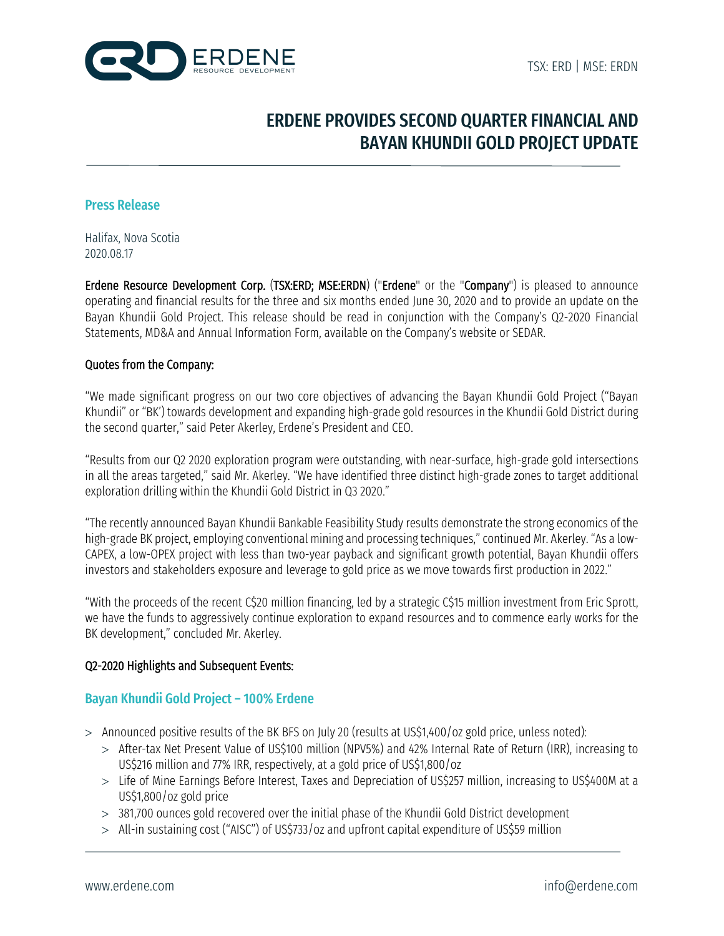

# ERDENE PROVIDES SECOND QUARTER FINANCIAL AND BAYAN KHUNDII GOLD PROJECT UPDATE

### Press Release

Halifax, Nova Scotia 2020.08.17

Erdene Resource Development Corp. (TSX:ERD; MSE:ERDN) ("Erdene" or the "Company") is pleased to announce operating and financial results for the three and six months ended June 30, 2020 and to provide an update on the Bayan Khundii Gold Project. This release should be read in conjunction with the Company's Q2-2020 Financial Statements, MD&A and Annual Information Form, available on the Company's website or SEDAR.

#### Quotes from the Company:

"We made significant progress on our two core objectives of advancing the Bayan Khundii Gold Project ("Bayan Khundii" or "BK') towards development and expanding high-grade gold resources in the Khundii Gold District during the second quarter," said Peter Akerley, Erdene's President and CEO.

"Results from our Q2 2020 exploration program were outstanding, with near-surface, high-grade gold intersections in all the areas targeted," said Mr. Akerley. "We have identified three distinct high-grade zones to target additional exploration drilling within the Khundii Gold District in Q3 2020."

"The recently announced Bayan Khundii Bankable Feasibility Study results demonstrate the strong economics of the high-grade BK project, employing conventional mining and processing techniques," continued Mr. Akerley. "As a low-CAPEX, a low-OPEX project with less than two-year payback and significant growth potential, Bayan Khundii offers investors and stakeholders exposure and leverage to gold price as we move towards first production in 2022."

"With the proceeds of the recent C\$20 million financing, led by a strategic C\$15 million investment from Eric Sprott, we have the funds to aggressively continue exploration to expand resources and to commence early works for the BK development," concluded Mr. Akerley.

#### Q2-2020 Highlights and Subsequent Events:

# Bayan Khundii Gold Project – 100% Erdene

- > Announced positive results of the BK BFS on July 20 (results at US\$1,400/oz gold price, unless noted):
	- > After-tax Net Present Value of US\$100 million (NPV5%) and 42% Internal Rate of Return (IRR), increasing to US\$216 million and 77% IRR, respectively, at a gold price of US\$1,800/oz
	- > Life of Mine Earnings Before Interest, Taxes and Depreciation of US\$257 million, increasing to US\$400M at a US\$1,800/oz gold price
	- > 381,700 ounces gold recovered over the initial phase of the Khundii Gold District development
	- > All-in sustaining cost ("AISC") of US\$733/oz and upfront capital expenditure of US\$59 million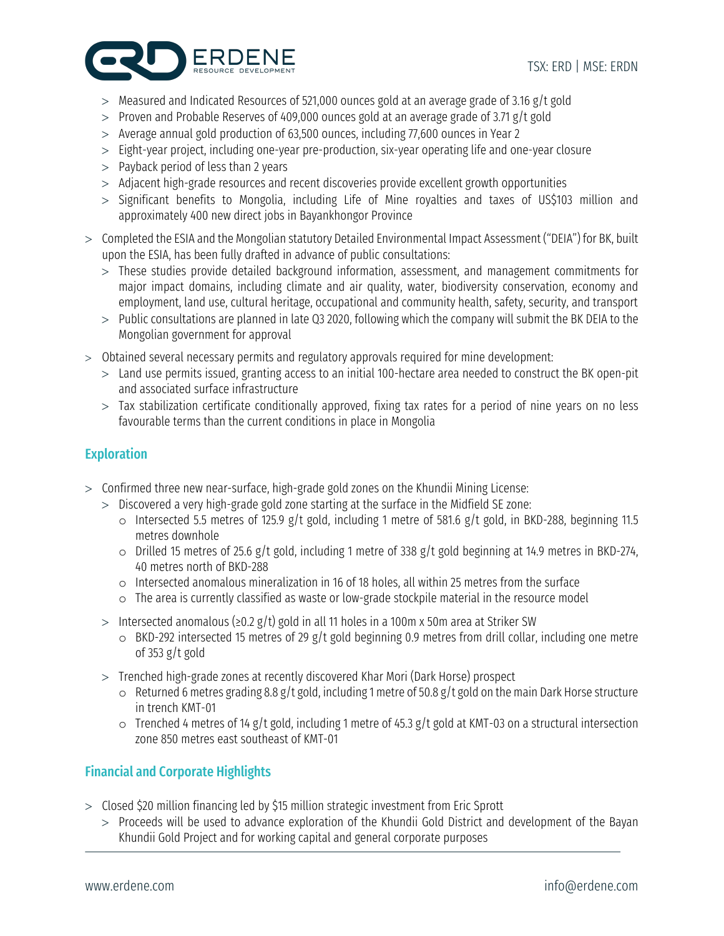

- > Measured and Indicated Resources of 521,000 ounces gold at an average grade of 3.16 g/t gold
- > Proven and Probable Reserves of 409,000 ounces gold at an average grade of 3.71 g/t gold
- > Average annual gold production of 63,500 ounces, including 77,600 ounces in Year 2
- > Eight-year project, including one-year pre-production, six-year operating life and one-year closure
- > Payback period of less than 2 years
- > Adjacent high-grade resources and recent discoveries provide excellent growth opportunities
- > Significant benefits to Mongolia, including Life of Mine royalties and taxes of US\$103 million and approximately 400 new direct jobs in Bayankhongor Province
- > Completed the ESIA and the Mongolian statutory Detailed Environmental Impact Assessment ("DEIA") for BK, built upon the ESIA, has been fully drafted in advance of public consultations:
	- > These studies provide detailed background information, assessment, and management commitments for major impact domains, including climate and air quality, water, biodiversity conservation, economy and employment, land use, cultural heritage, occupational and community health, safety, security, and transport
	- > Public consultations are planned in late Q3 2020, following which the company will submit the BK DEIA to the Mongolian government for approval
- > Obtained several necessary permits and regulatory approvals required for mine development:
	- > Land use permits issued, granting access to an initial 100-hectare area needed to construct the BK open-pit and associated surface infrastructure
	- > Tax stabilization certificate conditionally approved, fixing tax rates for a period of nine years on no less favourable terms than the current conditions in place in Mongolia

# **Exploration**

- > Confirmed three new near-surface, high-grade gold zones on the Khundii Mining License:
	- > Discovered a very high-grade gold zone starting at the surface in the Midfield SE zone:
		- o Intersected 5.5 metres of 125.9 g/t gold, including 1 metre of 581.6 g/t gold, in BKD-288, beginning 11.5 metres downhole
		- o Drilled 15 metres of 25.6 g/t gold, including 1 metre of 338 g/t gold beginning at 14.9 metres in BKD-274, 40 metres north of BKD-288
		- o Intersected anomalous mineralization in 16 of 18 holes, all within 25 metres from the surface
		- o The area is currently classified as waste or low-grade stockpile material in the resource model
	- > Intersected anomalous (≥0.2 g/t) gold in all 11 holes in a 100m x 50m area at Striker SW
		- o BKD-292 intersected 15 metres of 29 g/t gold beginning 0.9 metres from drill collar, including one metre of 353 g/t gold
	- > Trenched high-grade zones at recently discovered Khar Mori (Dark Horse) prospect
		- o Returned 6 metres grading 8.8 g/t gold, including 1 metre of 50.8 g/t gold on the main Dark Horse structure in trench KMT-01
		- o Trenched 4 metres of 14 g/t gold, including 1 metre of 45.3 g/t gold at KMT-03 on a structural intersection zone 850 metres east southeast of KMT-01

# Financial and Corporate Highlights

- > Closed \$20 million financing led by \$15 million strategic investment from Eric Sprott
	- > Proceeds will be used to advance exploration of the Khundii Gold District and development of the Bayan Khundii Gold Project and for working capital and general corporate purposes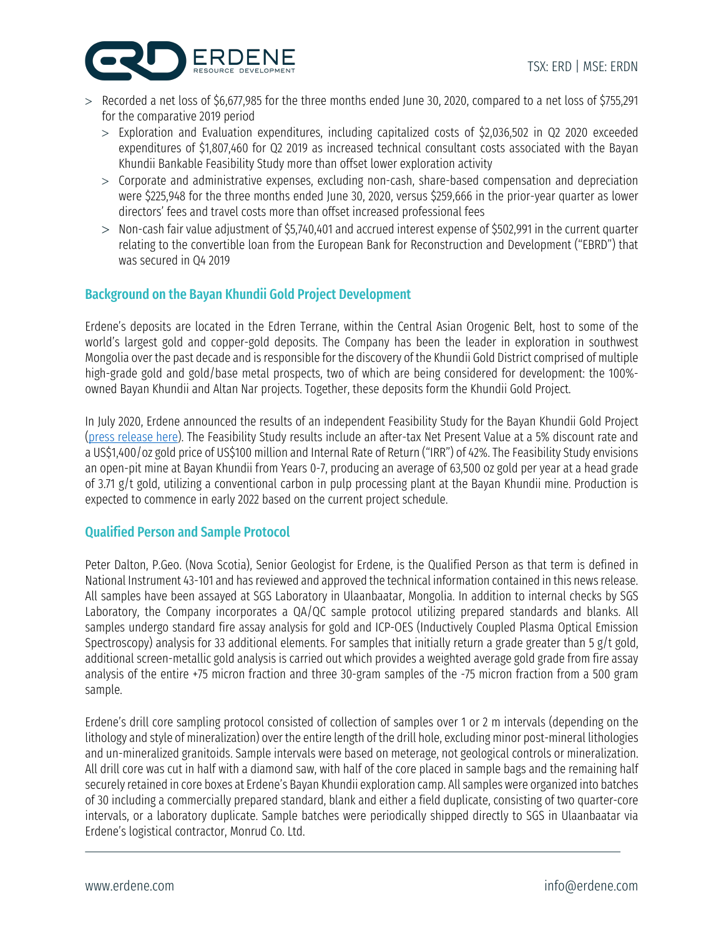

- > Recorded a net loss of \$6,677,985 for the three months ended June 30, 2020, compared to a net loss of \$755,291 for the comparative 2019 period
	- > Exploration and Evaluation expenditures, including capitalized costs of \$2,036,502 in Q2 2020 exceeded expenditures of \$1,807,460 for Q2 2019 as increased technical consultant costs associated with the Bayan Khundii Bankable Feasibility Study more than offset lower exploration activity
	- > Corporate and administrative expenses, excluding non-cash, share-based compensation and depreciation were \$225,948 for the three months ended June 30, 2020, versus \$259,666 in the prior-year quarter as lower directors' fees and travel costs more than offset increased professional fees
	- > Non-cash fair value adjustment of \$5,740,401 and accrued interest expense of \$502,991 in the current quarter relating to the convertible loan from the European Bank for Reconstruction and Development ("EBRD") that was secured in Q4 2019

# Background on the Bayan Khundii Gold Project Development

Erdene's deposits are located in the Edren Terrane, within the Central Asian Orogenic Belt, host to some of the world's largest gold and copper-gold deposits. The Company has been the leader in exploration in southwest Mongolia over the past decade and is responsible for the discovery of the Khundii Gold District comprised of multiple high-grade gold and gold/base metal prospects, two of which are being considered for development: the 100%owned Bayan Khundii and Altan Nar projects. Together, these deposits form the Khundii Gold Project.

In July 2020, Erdene announced the results of an independent Feasibility Study for the Bayan Khundii Gold Project [\(press release here\)](https://dltkyhzg7evud.cloudfront.net/assets/files/4206/epr_en.pdf). The Feasibility Study results include an after-tax Net Present Value at a 5% discount rate and a US\$1,400/oz gold price of US\$100 million and Internal Rate of Return ("IRR") of 42%. The Feasibility Study envisions an open-pit mine at Bayan Khundii from Years 0-7, producing an average of 63,500 oz gold per year at a head grade of 3.71 g/t gold, utilizing a conventional carbon in pulp processing plant at the Bayan Khundii mine. Production is expected to commence in early 2022 based on the current project schedule.

# Qualified Person and Sample Protocol

Peter Dalton, P.Geo. (Nova Scotia), Senior Geologist for Erdene, is the Qualified Person as that term is defined in National Instrument 43-101 and has reviewed and approved the technical information contained in this news release. All samples have been assayed at SGS Laboratory in Ulaanbaatar, Mongolia. In addition to internal checks by SGS Laboratory, the Company incorporates a QA/QC sample protocol utilizing prepared standards and blanks. All samples undergo standard fire assay analysis for gold and ICP-OES (Inductively Coupled Plasma Optical Emission Spectroscopy) analysis for 33 additional elements. For samples that initially return a grade greater than 5 g/t gold, additional screen-metallic gold analysis is carried out which provides a weighted average gold grade from fire assay analysis of the entire +75 micron fraction and three 30-gram samples of the -75 micron fraction from a 500 gram sample.

Erdene's drill core sampling protocol consisted of collection of samples over 1 or 2 m intervals (depending on the lithology and style of mineralization) over the entire length of the drill hole, excluding minor post-mineral lithologies and un-mineralized granitoids. Sample intervals were based on meterage, not geological controls or mineralization. All drill core was cut in half with a diamond saw, with half of the core placed in sample bags and the remaining half securely retained in core boxes at Erdene's Bayan Khundii exploration camp. All samples were organized into batches of 30 including a commercially prepared standard, blank and either a field duplicate, consisting of two quarter-core intervals, or a laboratory duplicate. Sample batches were periodically shipped directly to SGS in Ulaanbaatar via Erdene's logistical contractor, Monrud Co. Ltd.